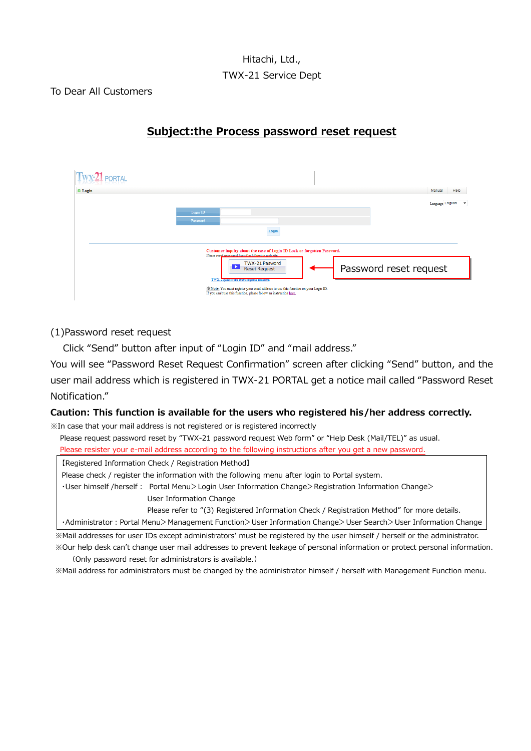## Hitachi, Ltd., TWX-21 Service Dept

#### To Dear All Customers

| <b>TWX-21 PORTAL</b> |                                                                                                                                                                                                      |                                              |
|----------------------|------------------------------------------------------------------------------------------------------------------------------------------------------------------------------------------------------|----------------------------------------------|
| © Login              |                                                                                                                                                                                                      | Manual<br>Help                               |
|                      | Login ID<br>Password                                                                                                                                                                                 | Language English<br>$\overline{\phantom{a}}$ |
|                      | Login                                                                                                                                                                                                |                                              |
|                      | Customer inquiry about the case of Login ID Lock or forgotten Password.<br>Please reset password from the following web site.                                                                        |                                              |
|                      | TWX-21 Pasword<br><b>Reset Request</b>                                                                                                                                                               | Password reset request                       |
|                      | TWX-21 password reset request runction<br>XX Note: You must register your email address to use this function on your Login ID.<br>If you can't use this function, please follow an instruction here. |                                              |

# **Subject:the Process password reset request**

(1)Password reset request

Click "Send" button after input of "Login ID" and "mail address."

You will see "Password Reset Request Confirmation" screen after clicking "Send" button, and the user mail address which is registered in TWX-21 PORTAL get a notice mail called "Password Reset Notification."

### **Caution: This function is available for the users who registered his/her address correctly.**

※In case that your mail address is not registered or is registered incorrectly

Please request password reset by "TWX-21 password request Web form" or "Help Desk (Mail/TEL)" as usual. Please resister your e-mail address according to the following instructions after you get a new password.

【Registered Information Check / Registration Method】

Please check / register the information with the following menu after login to Portal system.

・User himself /herself: Portal Menu>Login User Information Change>Registration Information Change> User Information Change

Please refer to "(3) Registered Information Check / Registration Method" for more details.

・Administrator:Portal Menu>Management Function>User Information Change>User Search>User Information Change

※Mail addresses for user IDs except administrators' must be registered by the user himself / herself or the administrator.

※Our help desk can't change user mail addresses to prevent leakage of personal information or protect personal information. (Only password reset for administrators is available.)

※Mail address for administrators must be changed by the administrator himself / herself with Management Function menu.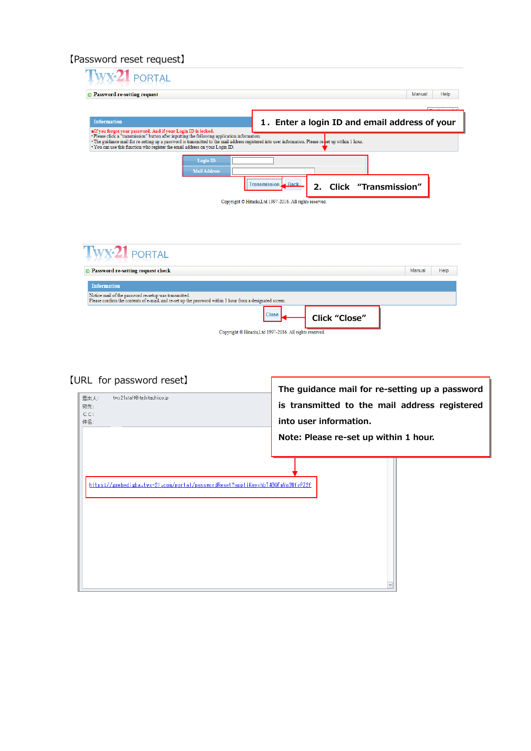【Password reset request】

| <b>PORTAL</b>                                                                                                                                                                                                                                                                                                                    |                                                          |
|----------------------------------------------------------------------------------------------------------------------------------------------------------------------------------------------------------------------------------------------------------------------------------------------------------------------------------|----------------------------------------------------------|
| <b>Password re-setting request</b>                                                                                                                                                                                                                                                                                               | Manual<br>Help                                           |
|                                                                                                                                                                                                                                                                                                                                  |                                                          |
| <b>Information</b><br>alf you forgot your password. And if your Login ID is locked.                                                                                                                                                                                                                                              | 1. Enter a login ID and email address of your            |
| Please click a "transmission" button after inputting the following application information.<br>The guidance mail for re-setting up a password is transmitted to the mail address registered into user information. Please re-set up within 1 hour.<br>You can use this function who register the email address on your Login ID. |                                                          |
| Login ID<br><b>Mail Address</b>                                                                                                                                                                                                                                                                                                  |                                                          |
|                                                                                                                                                                                                                                                                                                                                  | Back<br><b>Transmission</b><br>2. Click "Transmission"   |
|                                                                                                                                                                                                                                                                                                                                  | Copyright © Hitachi, Ltd 1997-2016. All rights reserved. |
| <b>PORTAL</b>                                                                                                                                                                                                                                                                                                                    |                                                          |
| <sup>1</sup> Password re-setting request check                                                                                                                                                                                                                                                                                   | Manual<br>Help                                           |
| <b>Information</b>                                                                                                                                                                                                                                                                                                               |                                                          |
| Notice mail of the password re-setup was transmitted.<br>Please confirm the contents of e-mail, and re-set up the password within 1 hour from a designated screen.                                                                                                                                                               |                                                          |
|                                                                                                                                                                                                                                                                                                                                  | <b>Close</b><br><b>Click "Close"</b>                     |
|                                                                                                                                                                                                                                                                                                                                  | Copyright © Hitachi,Ltd 1997-2016. All rights reserved.  |

# 【URL for password reset】

| one for password resets<br>twx21staff@itg.hitachi.co.jp<br>差出人:<br>宛先:<br>CC:<br>件名: | The guidance mail for re-setting up a password<br>is transmitted to the mail address registered<br>into user information.<br>Note: Please re-set up within 1 hour. |  |  |  |  |  |
|--------------------------------------------------------------------------------------|--------------------------------------------------------------------------------------------------------------------------------------------------------------------|--|--|--|--|--|
| https://gwebedigba.twx-21.com/portal/passwordReset?appliKey=hbT4BQFmVo3WfyPZ2f       |                                                                                                                                                                    |  |  |  |  |  |

Ī

ī.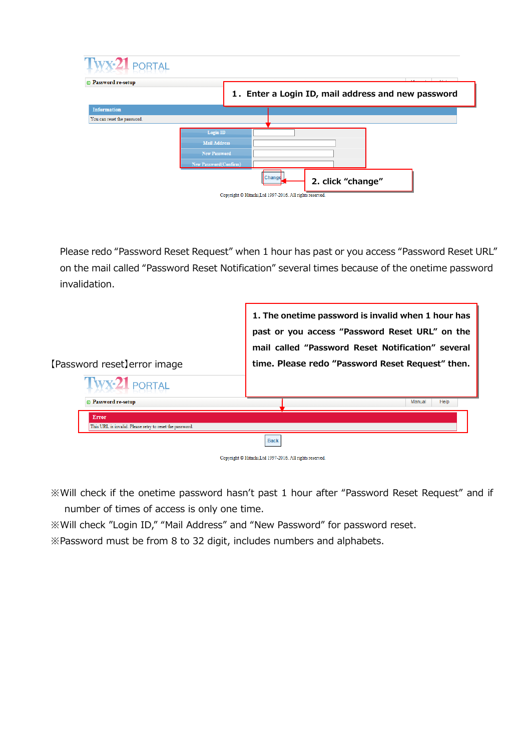| TWX-21 PORTAL                                            |                       |  |        |  |                   |                                                    |                                          |  |
|----------------------------------------------------------|-----------------------|--|--------|--|-------------------|----------------------------------------------------|------------------------------------------|--|
| <sup><i><b>a</b></i></sup> Password re-setup             |                       |  |        |  |                   | 1. Enter a Login ID, mail address and new password | $1.1 - 1.$<br><b>Notice and Contract</b> |  |
| <b>Information</b><br>You can reset the password.        |                       |  |        |  |                   |                                                    |                                          |  |
|                                                          | Login ID              |  |        |  |                   |                                                    |                                          |  |
|                                                          | <b>Mail Address</b>   |  |        |  |                   |                                                    |                                          |  |
|                                                          | <b>New Password</b>   |  |        |  |                   |                                                    |                                          |  |
|                                                          | New Password(Confirm) |  |        |  |                   |                                                    |                                          |  |
|                                                          |                       |  | Change |  | 2. click "change" |                                                    |                                          |  |
| Copyright © Hitachi, Ltd 1997-2016. All rights reserved. |                       |  |        |  |                   |                                                    |                                          |  |

Please redo "Password Reset Request" when 1 hour has past or you access "Password Reset URL" on the mail called "Password Reset Notification" several times because of the onetime password invalidation.





※Will check if the onetime password hasn't past 1 hour after "Password Reset Request" and if number of times of access is only one time.

※Will check "Login ID," "Mail Address" and "New Password" for password reset.

※Password must be from 8 to 32 digit, includes numbers and alphabets.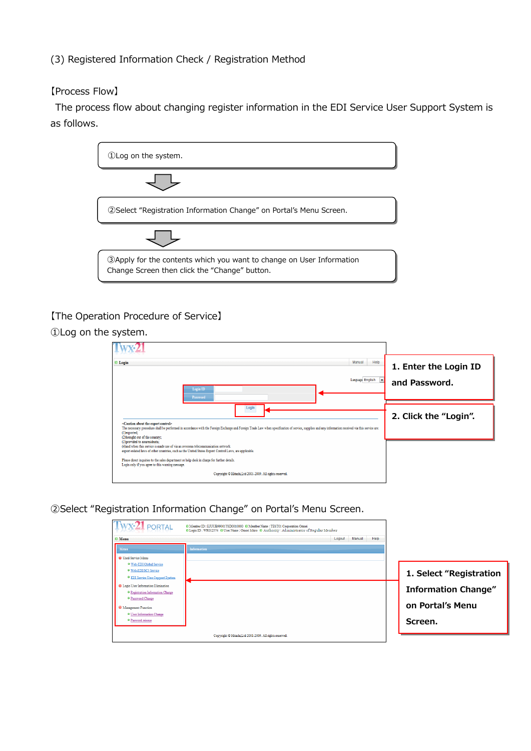(3) Registered Information Check / Registration Method

#### 【Process Flow】

The process flow about changing register information in the EDI Service User Support System is as follows.



### 【The Operation Procedure of Service】

①Log on the system.

| <sup>©</sup> Login<br>Login ID<br>Password                                                                                                                                                                                                                                                                                                                                                                                                    | Manual<br>Help<br>Language English | 1. Enter the Login ID<br>and Password. |
|-----------------------------------------------------------------------------------------------------------------------------------------------------------------------------------------------------------------------------------------------------------------------------------------------------------------------------------------------------------------------------------------------------------------------------------------------|------------------------------------|----------------------------------------|
| Login<br><caution about="" control="" export="" the=""><br/>The necessary procedure shall be performed in accordance with the Foreign Exchange and Foreign Trade Law when specification of service, supplies and any information received via this service are:<br/>(1)exported;<br/>(2) brought out of the country;</caution>                                                                                                                |                                    | 2. Click the "Login".                  |
| (3) provided to nonresidents;<br>(4) and when this service is made use of via an overseas telecommunication network.<br>export-related laws of other countries, such as the United States Export Control Laws, are applicable.<br>Please direct inquiries to the sales department or help desk in charge for further details.<br>Login only if you agree to this warning message.<br>Copyright © Hitachi, Ltd 2001-2009. All rights reserved. |                                    |                                        |

## ②Select "Registration Information Change" on Portal's Menu Screen.

| TWX-21 PORTAL                                                                | <sup>63</sup> Member ID : EJUUB99001YSD0010000 <sup>69</sup> Member Name : TEST01 Corporation Omori<br>E Login ID: WR012574 E User Name: Omori Ichiro E Authority : Administrator of Regular Member |        |        |      |                            |
|------------------------------------------------------------------------------|-----------------------------------------------------------------------------------------------------------------------------------------------------------------------------------------------------|--------|--------|------|----------------------------|
| <sup><i><b>D</b></i></sup> Menu                                              |                                                                                                                                                                                                     | Logout | Manual | Help |                            |
| Menu                                                                         | Information                                                                                                                                                                                         |        |        |      |                            |
| <b>El Used Service Memu</b><br><sup>o</sup> Web-EDI/Global Service           |                                                                                                                                                                                                     |        |        |      |                            |
| <sup>o</sup> Web-EDI/SC3 Service                                             |                                                                                                                                                                                                     |        |        |      | 1. Select "Registration    |
| <sup>o</sup> EDI Service User Support System                                 |                                                                                                                                                                                                     |        |        |      |                            |
| <b>B</b> Login User Information Elimination                                  |                                                                                                                                                                                                     |        |        |      | <b>Information Change"</b> |
| <sup>o</sup> Registration Information Change<br><sup>o</sup> Password Change |                                                                                                                                                                                                     |        |        |      |                            |
| Management Function                                                          |                                                                                                                                                                                                     |        |        |      | on Portal's Menu           |
| <sup>o</sup> User Information Change                                         |                                                                                                                                                                                                     |        |        |      |                            |
| <sup>o</sup> Pasword reissue                                                 |                                                                                                                                                                                                     |        |        |      | Screen.                    |
|                                                                              | Copyright © Hitachi, Ltd 2001-2009. All rights reserved.                                                                                                                                            |        |        |      |                            |